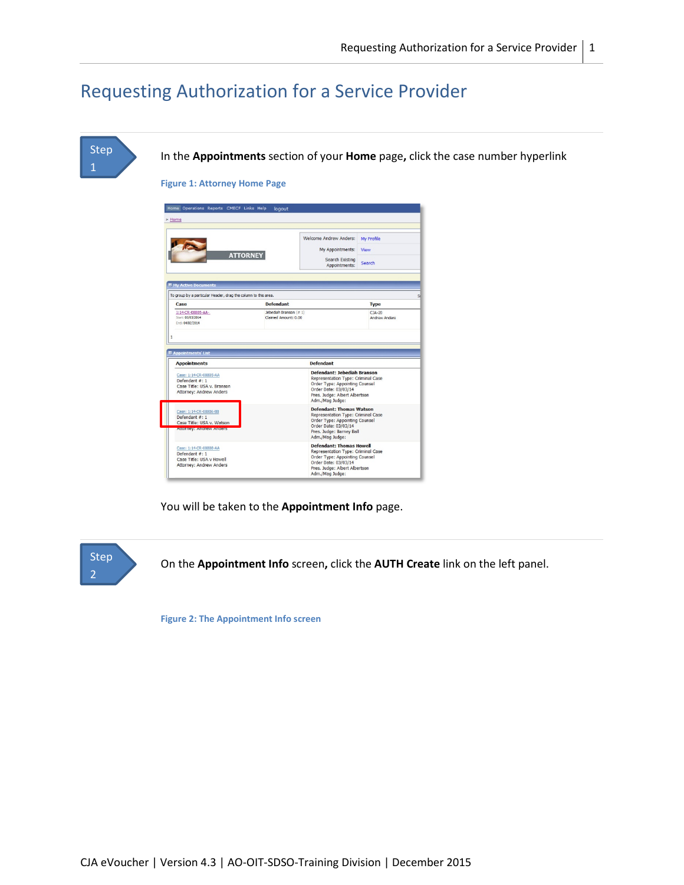# Requesting Authorization for a Service Provider





**Figure 2: The Appointment Info screen**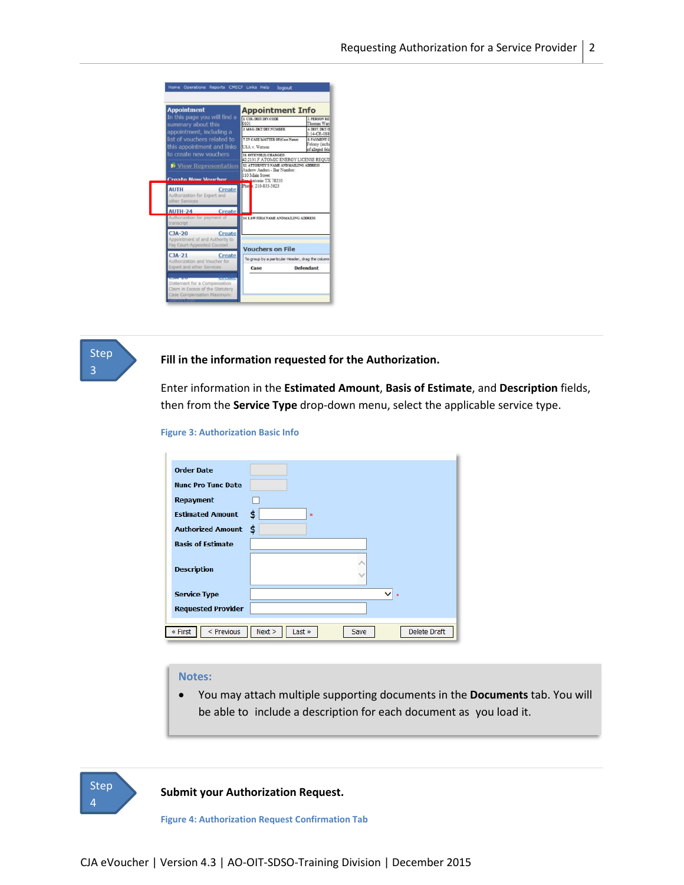



## **Fill in the information requested for the Authorization.**

Enter information in the **Estimated Amount**, **Basis of Estimate**, and **Description** fields, then from the **Service Type** drop-down menu, select the applicable service type.

#### **Figure 3: Authorization Basic Info**

| <b>Order Date</b>         |                                                 |
|---------------------------|-------------------------------------------------|
| <b>Nunc Pro Tunc Date</b> |                                                 |
| <b>Repayment</b>          |                                                 |
| <b>Estimated Amount</b>   | \$<br>\$                                        |
| <b>Authorized Amount</b>  | \$                                              |
| <b>Basis of Estimate</b>  |                                                 |
| <b>Description</b>        |                                                 |
| <b>Service Type</b>       | $\frac{1}{x}$                                   |
| <b>Requested Provider</b> |                                                 |
| < Previous<br>« First     | Next ><br><b>Delete Draft</b><br>Last »<br>Save |

# **Notes:**

• You may attach multiple supporting documents in the **Documents** tab. You will be able to include a description for each document as you load it.



**Submit your Authorization Request.**

**Figure 4: Authorization Request Confirmation Tab**